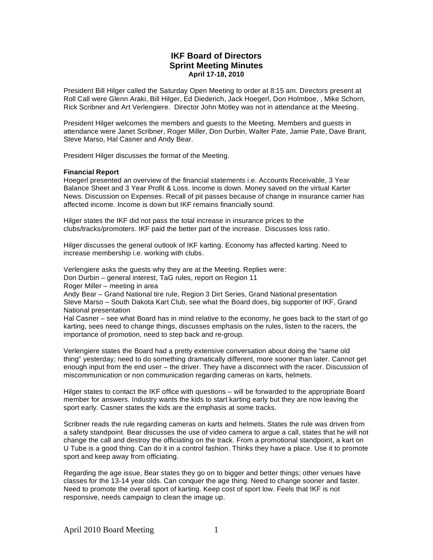# **IKF Board of Directors Sprint Meeting Minutes April 17-18, 2010**

President Bill Hilger called the Saturday Open Meeting to order at 8:15 am. Directors present at Roll Call were Glenn Araki, Bill Hilger, Ed Diederich, Jack Hoegerl, Don Holmboe, , Mike Schorn, Rick Scribner and Art Verlengiere. Director John Motley was not in attendance at the Meeting.

President Hilger welcomes the members and guests to the Meeting. Members and guests in attendance were Janet Scribner, Roger Miller, Don Durbin, Walter Pate, Jamie Pate, Dave Brant, Steve Marso, Hal Casner and Andy Bear.

President Hilger discusses the format of the Meeting.

#### **Financial Report**

Hoegerl presented an overview of the financial statements i.e. Accounts Receivable, 3 Year Balance Sheet and 3 Year Profit & Loss. Income is down. Money saved on the virtual Karter News. Discussion on Expenses. Recall of pit passes because of change in insurance carrier has affected income. Income is down but IKF remains financially sound.

Hilger states the IKF did not pass the total increase in insurance prices to the clubs/tracks/promoters. IKF paid the better part of the increase. Discusses loss ratio.

Hilger discusses the general outlook of IKF karting. Economy has affected karting. Need to increase membership i.e. working with clubs.

Verlengiere asks the guests why they are at the Meeting. Replies were:

Don Durbin – general interest, TaG rules, report on Region 11

Roger Miller – meeting in area

Andy Bear – Grand National tire rule, Region 3 Dirt Series, Grand National presentation Steve Marso – South Dakota Kart Club, see what the Board does, big supporter of IKF, Grand National presentation

Hal Casner – see what Board has in mind relative to the economy, he goes back to the start of go karting, sees need to change things, discusses emphasis on the rules, listen to the racers, the importance of promotion, need to step back and re-group.

Verlengiere states the Board had a pretty extensive conversation about doing the "same old thing" yesterday; need to do something dramatically different, more sooner than later. Cannot get enough input from the end user – the driver. They have a disconnect with the racer. Discussion of miscommunication or non communication regarding cameras on karts, helmets.

Hilger states to contact the IKF office with questions – will be forwarded to the appropriate Board member for answers. Industry wants the kids to start karting early but they are now leaving the sport early. Casner states the kids are the emphasis at some tracks.

Scribner reads the rule regarding cameras on karts and helmets. States the rule was driven from a safety standpoint. Bear discusses the use of video camera to argue a call, states that he will not change the call and destroy the officiating on the track. From a promotional standpoint, a kart on U Tube is a good thing. Can do it in a control fashion. Thinks they have a place. Use it to promote sport and keep away from officiating.

Regarding the age issue, Bear states they go on to bigger and better things; other venues have classes for the 13-14 year olds. Can conquer the age thing. Need to change sooner and faster. Need to promote the overall sport of karting. Keep cost of sport low. Feels that IKF is not responsive, needs campaign to clean the image up.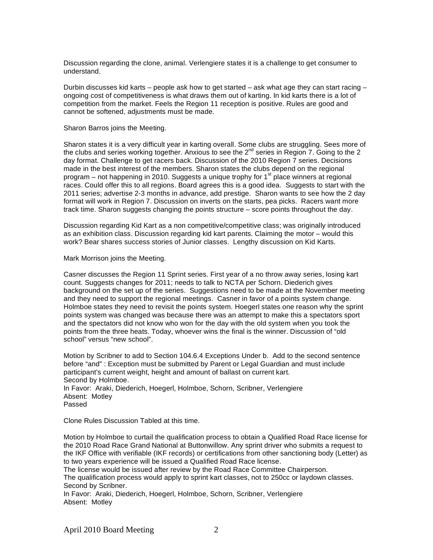Discussion regarding the clone, animal. Verlengiere states it is a challenge to get consumer to understand.

Durbin discusses kid karts – people ask how to get started – ask what age they can start racing – ongoing cost of competitiveness is what draws them out of karting. In kid karts there is a lot of competition from the market. Feels the Region 11 reception is positive. Rules are good and cannot be softened, adjustments must be made.

Sharon Barros joins the Meeting.

Sharon states it is a very difficult year in karting overall. Some clubs are struggling. Sees more of the clubs and series working together. Anxious to see the  $2^{nd}$  series in Region 7. Going to the 2 day format. Challenge to get racers back. Discussion of the 2010 Region 7 series. Decisions made in the best interest of the members. Sharon states the clubs depend on the regional program – not happening in 2010. Suggests a unique trophy for 1<sup>st</sup> place winners at regional races. Could offer this to all regions. Board agrees this is a good idea. Suggests to start with the 2011 series; advertise 2-3 months in advance, add prestige. Sharon wants to see how the 2 day format will work in Region 7. Discussion on inverts on the starts, pea picks. Racers want more track time. Sharon suggests changing the points structure – score points throughout the day.

Discussion regarding Kid Kart as a non competitive/competitive class; was originally introduced as an exhibition class. Discussion regarding kid kart parents. Claiming the motor – would this work? Bear shares success stories of Junior classes. Lengthy discussion on Kid Karts.

Mark Morrison joins the Meeting.

Casner discusses the Region 11 Sprint series. First year of a no throw away series, losing kart count. Suggests changes for 2011; needs to talk to NCTA per Schorn. Diederich gives background on the set up of the series. Suggestions need to be made at the November meeting and they need to support the regional meetings. Casner in favor of a points system change. Holmboe states they need to revisit the points system. Hoegerl states one reason why the sprint points system was changed was because there was an attempt to make this a spectators sport and the spectators did not know who won for the day with the old system when you took the points from the three heats. Today, whoever wins the final is the winner. Discussion of "old school" versus "new school".

Motion by Scribner to add to Section 104.6.4 Exceptions Under b. Add to the second sentence before "and" : Exception must be submitted by Parent or Legal Guardian and must include participant's current weight, height and amount of ballast on current kart. Second by Holmboe. In Favor: Araki, Diederich, Hoegerl, Holmboe, Schorn, Scribner, Verlengiere

Absent: Motley Passed

Clone Rules Discussion Tabled at this time.

Motion by Holmboe to curtail the qualification process to obtain a Qualified Road Race license for the 2010 Road Race Grand National at Buttonwillow. Any sprint driver who submits a request to the IKF Office with verifiable (IKF records) or certifications from other sanctioning body (Letter) as to two years experience will be issued a Qualified Road Race license.

The license would be issued after review by the Road Race Committee Chairperson.

The qualification process would apply to sprint kart classes, not to 250cc or laydown classes. Second by Scribner.

In Favor: Araki, Diederich, Hoegerl, Holmboe, Schorn, Scribner, Verlengiere Absent: Motley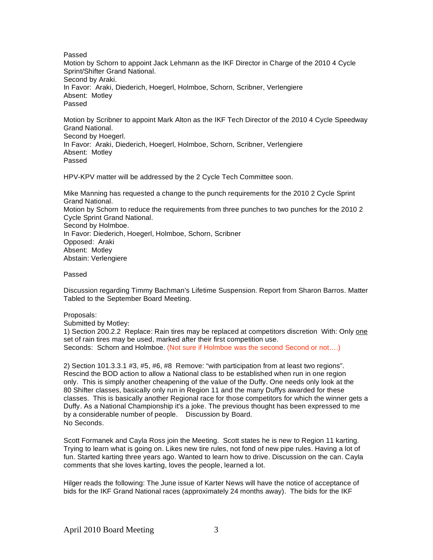Passed

Motion by Schorn to appoint Jack Lehmann as the IKF Director in Charge of the 2010 4 Cycle Sprint/Shifter Grand National. Second by Araki. In Favor: Araki, Diederich, Hoegerl, Holmboe, Schorn, Scribner, Verlengiere Absent: Motley Passed

Motion by Scribner to appoint Mark Alton as the IKF Tech Director of the 2010 4 Cycle Speedway Grand National. Second by Hoegerl. In Favor: Araki, Diederich, Hoegerl, Holmboe, Schorn, Scribner, Verlengiere Absent: Motley Passed

HPV-KPV matter will be addressed by the 2 Cycle Tech Committee soon.

Mike Manning has requested a change to the punch requirements for the 2010 2 Cycle Sprint Grand National. Motion by Schorn to reduce the requirements from three punches to two punches for the 2010 2 Cycle Sprint Grand National. Second by Holmboe. In Favor: Diederich, Hoegerl, Holmboe, Schorn, Scribner Opposed: Araki Absent: Motley Abstain: Verlengiere

Passed

Discussion regarding Timmy Bachman's Lifetime Suspension. Report from Sharon Barros. Matter Tabled to the September Board Meeting.

### Proposals:

Submitted by Motley:

1) Section 200.2.2 Replace: Rain tires may be replaced at competitors discretion With: Only one set of rain tires may be used, marked after their first competition use. Seconds: Schorn and Holmboe. (Not sure if Holmboe was the second Second or not....)

2) Section 101.3.3.1 #3, #5, #6, #8 Remove: "with participation from at least two regions". Rescind the BOD action to allow a National class to be established when run in one region only. This is simply another cheapening of the value of the Duffy. One needs only look at the 80 Shifter classes, basically only run in Region 11 and the many Duffys awarded for these classes. This is basically another Regional race for those competitors for which the winner gets a Duffy. As a National Championship it's a joke. The previous thought has been expressed to me by a considerable number of people. Discussion by Board. No Seconds.

Scott Formanek and Cayla Ross join the Meeting. Scott states he is new to Region 11 karting. Trying to learn what is going on. Likes new tire rules, not fond of new pipe rules. Having a lot of fun. Started karting three years ago. Wanted to learn how to drive. Discussion on the can. Cayla comments that she loves karting, loves the people, learned a lot.

Hilger reads the following: The June issue of Karter News will have the notice of acceptance of bids for the IKF Grand National races (approximately 24 months away). The bids for the IKF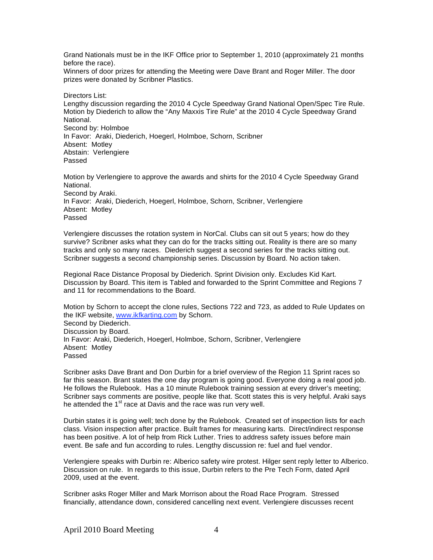Grand Nationals must be in the IKF Office prior to September 1, 2010 (approximately 21 months before the race).

Winners of door prizes for attending the Meeting were Dave Brant and Roger Miller. The door prizes were donated by Scribner Plastics.

Directors List: Lengthy discussion regarding the 2010 4 Cycle Speedway Grand National Open/Spec Tire Rule. Motion by Diederich to allow the "Any Maxxis Tire Rule" at the 2010 4 Cycle Speedway Grand National. Second by: Holmboe In Favor: Araki, Diederich, Hoegerl, Holmboe, Schorn, Scribner Absent: Motley Abstain: Verlengiere Passed

Motion by Verlengiere to approve the awards and shirts for the 2010 4 Cycle Speedway Grand National. Second by Araki. In Favor: Araki, Diederich, Hoegerl, Holmboe, Schorn, Scribner, Verlengiere Absent: Motley Passed

Verlengiere discusses the rotation system in NorCal. Clubs can sit out 5 years; how do they survive? Scribner asks what they can do for the tracks sitting out. Reality is there are so many tracks and only so many races. Diederich suggest a second series for the tracks sitting out. Scribner suggests a second championship series. Discussion by Board. No action taken.

Regional Race Distance Proposal by Diederich. Sprint Division only. Excludes Kid Kart. Discussion by Board. This item is Tabled and forwarded to the Sprint Committee and Regions 7 and 11 for recommendations to the Board.

Motion by Schorn to accept the clone rules, Sections 722 and 723, as added to Rule Updates on the IKF website, www.ikfkarting.com by Schorn. Second by Diederich. Discussion by Board. In Favor: Araki, Diederich, Hoegerl, Holmboe, Schorn, Scribner, Verlengiere Absent: Motley Passed

Scribner asks Dave Brant and Don Durbin for a brief overview of the Region 11 Sprint races so far this season. Brant states the one day program is going good. Everyone doing a real good job. He follows the Rulebook. Has a 10 minute Rulebook training session at every driver's meeting; Scribner says comments are positive, people like that. Scott states this is very helpful. Araki says he attended the  $1<sup>st</sup>$  race at Davis and the race was run very well.

Durbin states it is going well; tech done by the Rulebook. Created set of inspection lists for each class. Vision inspection after practice. Built frames for measuring karts. Direct/indirect response has been positive. A lot of help from Rick Luther. Tries to address safety issues before main event. Be safe and fun according to rules. Lengthy discussion re: fuel and fuel vendor.

Verlengiere speaks with Durbin re: Alberico safety wire protest. Hilger sent reply letter to Alberico. Discussion on rule. In regards to this issue, Durbin refers to the Pre Tech Form, dated April 2009, used at the event.

Scribner asks Roger Miller and Mark Morrison about the Road Race Program. Stressed financially, attendance down, considered cancelling next event. Verlengiere discusses recent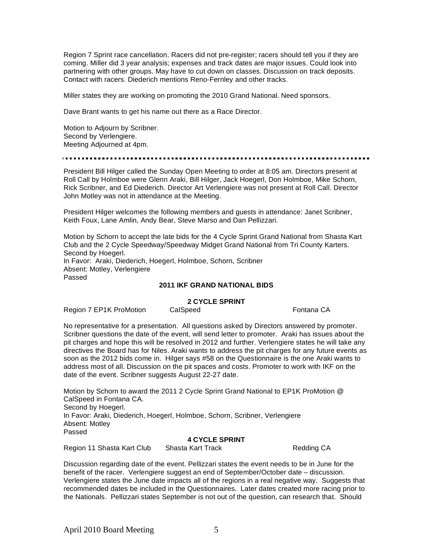Region 7 Sprint race cancellation. Racers did not pre-register; racers should tell you if they are coming. Miller did 3 year analysis; expenses and track dates are major issues. Could look into partnering with other groups. May have to cut down on classes. Discussion on track deposits. Contact with racers. Diederich mentions Reno-Fernley and other tracks.

Miller states they are working on promoting the 2010 Grand National. Need sponsors.

Dave Brant wants to get his name out there as a Race Director.

Motion to Adjourn by Scribner. Second by Verlengiere. Meeting Adjourned at 4pm.

President Bill Hilger called the Sunday Open Meeting to order at 8:05 am. Directors present at Roll Call by Holmboe were Glenn Araki, Bill Hilger, Jack Hoegerl, Don Holmboe, Mike Schorn, Rick Scribner, and Ed Diederich. Director Art Verlengiere was not present at Roll Call. Director John Motley was not in attendance at the Meeting.

President Hilger welcomes the following members and guests in attendance: Janet Scribner, Keith Foux, Lane Amlin, Andy Bear, Steve Marso and Dan Pellizzari.

Motion by Schorn to accept the late bids for the 4 Cycle Sprint Grand National from Shasta Kart Club and the 2 Cycle Speedway/Speedway Midget Grand National from Tri County Karters. Second by Hoegerl. In Favor: Araki, Diederich, Hoegerl, Holmboe, Schorn, Scribner Absent: Motley, Verlengiere Passed

## **2011 IKF GRAND NATIONAL BIDS**

### **2 CYCLE SPRINT**

Region 7 EP1K ProMotion CalSpeed Fontana CA

No representative for a presentation. All questions asked by Directors answered by promoter. Scribner questions the date of the event, will send letter to promoter. Araki has issues about the pit charges and hope this will be resolved in 2012 and further. Verlengiere states he will take any directives the Board has for Niles. Araki wants to address the pit charges for any future events as soon as the 2012 bids come in. Hilger says #58 on the Questionnaire is the one Araki wants to address most of all. Discussion on the pit spaces and costs. Promoter to work with IKF on the date of the event. Scribner suggests August 22-27 date.

Motion by Schorn to award the 2011 2 Cycle Sprint Grand National to EP1K ProMotion @ CalSpeed in Fontana CA. Second by Hoegerl. In Favor: Araki, Diederich, Hoegerl, Holmboe, Schorn, Scribner, Verlengiere Absent: Motley Passed

# **4 CYCLE SPRINT**

Region 11 Shasta Kart Club Shasta Kart Track Cases Redding CA

Discussion regarding date of the event. Pellizzari states the event needs to be in June for the benefit of the racer. Verlengiere suggest an end of September/October date – discussion. Verlengiere states the June date impacts all of the regions in a real negative way. Suggests that recommended dates be included in the Questionnaires. Later dates created more racing prior to the Nationals. Pellizzari states September is not out of the question, can research that. Should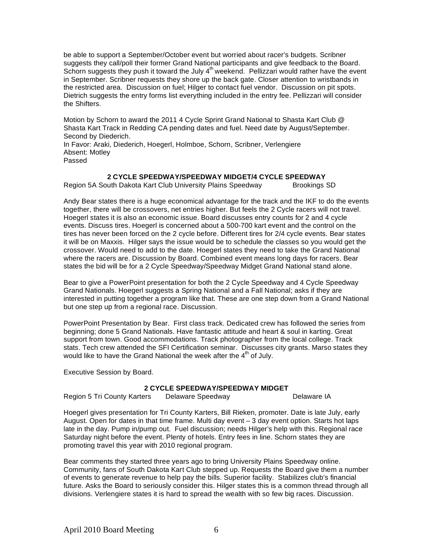be able to support a September/October event but worried about racer's budgets. Scribner suggests they call/poll their former Grand National participants and give feedback to the Board. Schorn suggests they push it toward the July 4<sup>th</sup> weekend. Pellizzari would rather have the event in September. Scribner requests they shore up the back gate. Closer attention to wristbands in the restricted area. Discussion on fuel; Hilger to contact fuel vendor. Discussion on pit spots. Dietrich suggests the entry forms list everything included in the entry fee. Pellizzari will consider the Shifters.

Motion by Schorn to award the 2011 4 Cycle Sprint Grand National to Shasta Kart Club @ Shasta Kart Track in Redding CA pending dates and fuel. Need date by August/September. Second by Diederich.

In Favor: Araki, Diederich, Hoegerl, Holmboe, Schorn, Scribner, Verlengiere Absent: Motley Passed

## **2 CYCLE SPEEDWAY/SPEEDWAY MIDGET/4 CYCLE SPEEDWAY**

Region 5A South Dakota Kart Club University Plains Speedway Brookings SD

Andy Bear states there is a huge economical advantage for the track and the IKF to do the events together, there will be crossovers, net entries higher. But feels the 2 Cycle racers will not travel. Hoegerl states it is also an economic issue. Board discusses entry counts for 2 and 4 cycle events. Discuss tires. Hoegerl is concerned about a 500-700 kart event and the control on the tires has never been forced on the 2 cycle before. Different tires for 2/4 cycle events. Bear states it will be on Maxxis. Hilger says the issue would be to schedule the classes so you would get the crossover. Would need to add to the date. Hoegerl states they need to take the Grand National where the racers are. Discussion by Board. Combined event means long days for racers. Bear states the bid will be for a 2 Cycle Speedway/Speedway Midget Grand National stand alone.

Bear to give a PowerPoint presentation for both the 2 Cycle Speedway and 4 Cycle Speedway Grand Nationals. Hoegerl suggests a Spring National and a Fall National; asks if they are interested in putting together a program like that. These are one step down from a Grand National but one step up from a regional race. Discussion.

PowerPoint Presentation by Bear. First class track. Dedicated crew has followed the series from beginning; done 5 Grand Nationals. Have fantastic attitude and heart & soul in karting. Great support from town. Good accommodations. Track photographer from the local college. Track stats. Tech crew attended the SFI Certification seminar. Discusses city grants. Marso states they would like to have the Grand National the week after the  $4<sup>th</sup>$  of July.

Executive Session by Board.

# **2 CYCLE SPEEDWAY/SPEEDWAY MIDGET**

Region 5 Tri County Karters Delaware Speedway **Delaware II** Delaware IA

Hoegerl gives presentation for Tri County Karters, Bill Rieken, promoter. Date is late July, early August. Open for dates in that time frame. Multi day event – 3 day event option. Starts hot laps late in the day. Pump in/pump out. Fuel discussion; needs Hilger's help with this. Regional race Saturday night before the event. Plenty of hotels. Entry fees in line. Schorn states they are promoting travel this year with 2010 regional program.

Bear comments they started three years ago to bring University Plains Speedway online. Community, fans of South Dakota Kart Club stepped up. Requests the Board give them a number of events to generate revenue to help pay the bills. Superior facility. Stabilizes club's financial future. Asks the Board to seriously consider this. Hilger states this is a common thread through all divisions. Verlengiere states it is hard to spread the wealth with so few big races. Discussion.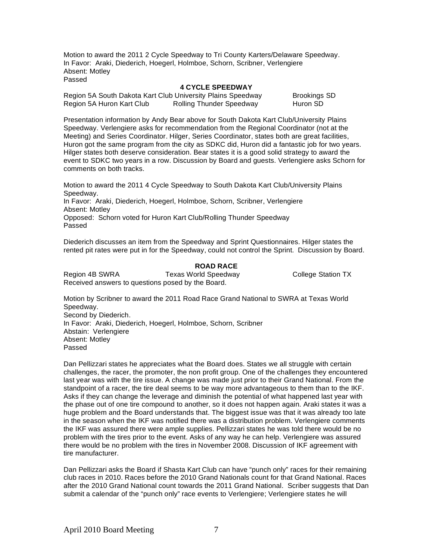Motion to award the 2011 2 Cycle Speedway to Tri County Karters/Delaware Speedway. In Favor: Araki, Diederich, Hoegerl, Holmboe, Schorn, Scribner, Verlengiere Absent: Motley Passed

#### **4 CYCLE SPEEDWAY**

Region 5A South Dakota Kart Club University Plains Speedway Brookings SD Region 5A Huron Kart Club Rolling Thunder Speedway Huron SD

Presentation information by Andy Bear above for South Dakota Kart Club/University Plains Speedway. Verlengiere asks for recommendation from the Regional Coordinator (not at the Meeting) and Series Coordinator. Hilger, Series Coordinator, states both are great facilities, Huron got the same program from the city as SDKC did, Huron did a fantastic job for two years. Hilger states both deserve consideration. Bear states it is a good solid strategy to award the event to SDKC two years in a row. Discussion by Board and guests. Verlengiere asks Schorn for comments on both tracks.

Motion to award the 2011 4 Cycle Speedway to South Dakota Kart Club/University Plains Speedway. In Favor: Araki, Diederich, Hoegerl, Holmboe, Schorn, Scribner, Verlengiere Absent: Motley Opposed: Schorn voted for Huron Kart Club/Rolling Thunder Speedway Passed

Diederich discusses an item from the Speedway and Sprint Questionnaires. Hilger states the rented pit rates were put in for the Speedway, could not control the Sprint. Discussion by Board.

### **ROAD RACE**

Region 4B SWRA Texas World Speedway College Station TX Received answers to questions posed by the Board.

Motion by Scribner to award the 2011 Road Race Grand National to SWRA at Texas World Speedway. Second by Diederich. In Favor: Araki, Diederich, Hoegerl, Holmboe, Schorn, Scribner Abstain: Verlengiere Absent: Motley Passed

Dan Pellizzari states he appreciates what the Board does. States we all struggle with certain challenges, the racer, the promoter, the non profit group. One of the challenges they encountered last year was with the tire issue. A change was made just prior to their Grand National. From the standpoint of a racer, the tire deal seems to be way more advantageous to them than to the IKF. Asks if they can change the leverage and diminish the potential of what happened last year with the phase out of one tire compound to another, so it does not happen again. Araki states it was a huge problem and the Board understands that. The biggest issue was that it was already too late in the season when the IKF was notified there was a distribution problem. Verlengiere comments the IKF was assured there were ample supplies. Pellizzari states he was told there would be no problem with the tires prior to the event. Asks of any way he can help. Verlengiere was assured there would be no problem with the tires in November 2008. Discussion of IKF agreement with tire manufacturer.

Dan Pellizzari asks the Board if Shasta Kart Club can have "punch only" races for their remaining club races in 2010. Races before the 2010 Grand Nationals count for that Grand National. Races after the 2010 Grand National count towards the 2011 Grand National. Scriber suggests that Dan submit a calendar of the "punch only" race events to Verlengiere; Verlengiere states he will